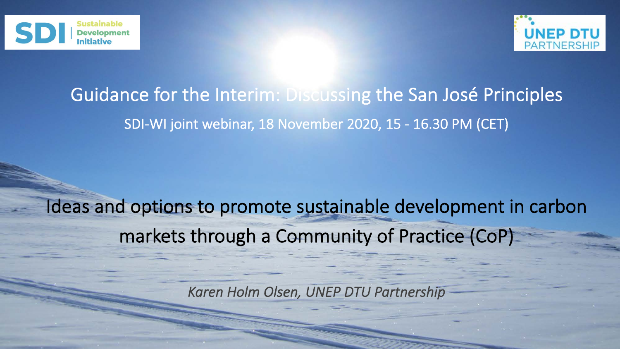



### Guidance for the Interim: Discussing the San José Principles SDI-WI joint webinar, 18 November 2020, 15 - 16.30 PM (CET)

## Ideas and options to promote sustainable development in carbon markets through a Community of Practice (CoP)

*Karen Holm Olsen, UNEP DTU Partnership*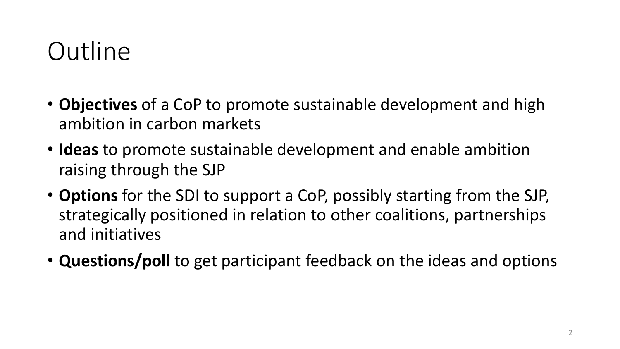# **Outline**

- **Objectives** of a CoP to promote sustainable development and high ambition in carbon markets
- **Ideas** to promote sustainable development and enable ambition raising through the SJP
- **Options** for the SDI to support a CoP, possibly starting from the SJP, strategically positioned in relation to other coalitions, partnerships and initiatives
- **Questions/poll** to get participant feedback on the ideas and options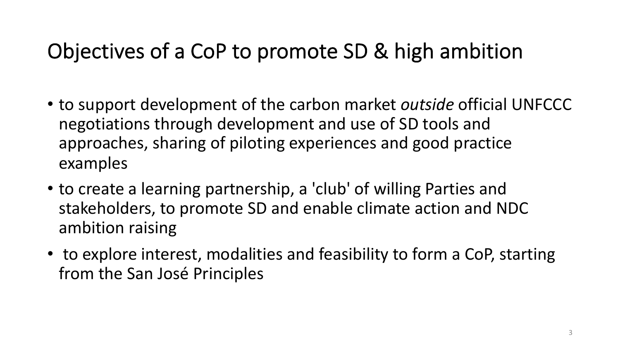### Objectives of a CoP to promote SD & high ambition

- to support development of the carbon market *outside* official UNFCCC negotiations through development and use of SD tools and approaches, sharing of piloting experiences and good practice examples
- to create a learning partnership, a 'club' of willing Parties and stakeholders, to promote SD and enable climate action and NDC ambition raising
- to explore interest, modalities and feasibility to form a CoP, starting from the San José Principles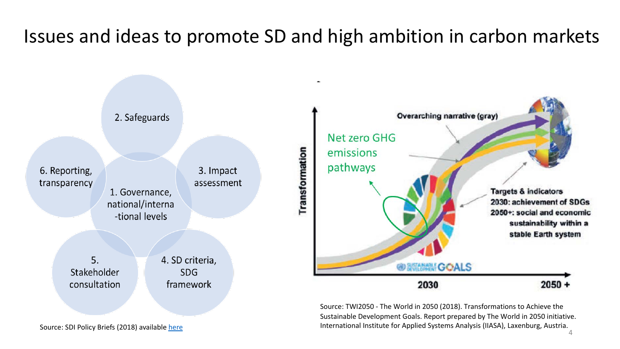#### Issues and ideas to promote SD and high ambition in carbon markets

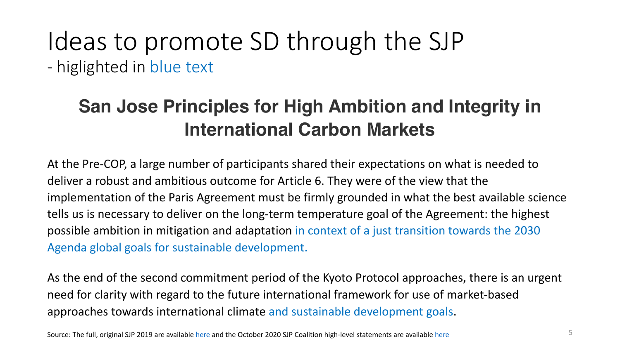### Ideas to promote SD through the SJP - higlighted in blue text

#### **San Jose Principles for High Ambition and Integrity in International Carbon Markets**

At the Pre-COP, a large number of participants shared their expectations on what is needed to deliver a robust and ambitious outcome for Article 6. They were of the view that the implementation of the Paris Agreement must be firmly grounded in what the best available science tells us is necessary to deliver on the long-term temperature goal of the Agreement: the highest possible ambition in mitigation and adaptation in context of a just transition towards the 2030 Agenda global goals for sustainable development.

As the end of the second commitment period of the Kyoto Protocol approaches, there is an urgent need for clarity with regard to the future international framework for use of market-based approaches towards international climate and sustainable development goals.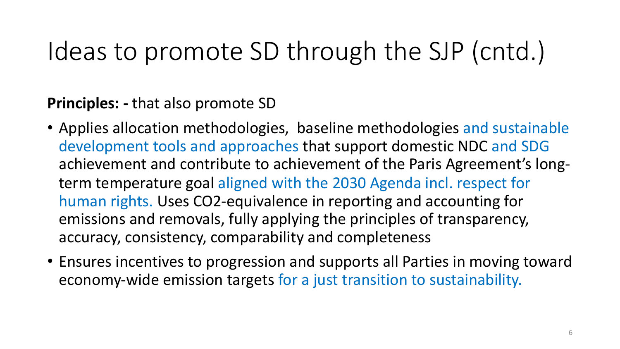# Ideas to promote SD through the SJP (cntd.)

#### **Principles: -** that also promote SD

- Applies allocation methodologies, baseline methodologies and sustainable development tools and approaches that support domestic NDC and SDG achievement and contribute to achievement of the Paris Agreement's longterm temperature goal aligned with the 2030 Agenda incl. respect for human rights. Uses CO2-equivalence in reporting and accounting for emissions and removals, fully applying the principles of transparency, accuracy, consistency, comparability and completeness
- Ensures incentives to progression and supports all Parties in moving toward economy-wide emission targets for a just transition to sustainability.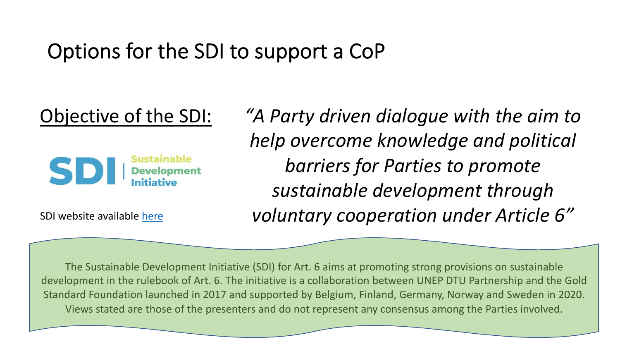#### Options for the SDI to support a CoP

Objective of the SDI:

SDI

SDI website available [here](https://unepdtu.org/project/sustainable-development-dialogue-on-the-implementation-of-article-6-of-the-paris-agreement-under-the-unfccc-process/)

*"A Party driven dialogue with the aim to help overcome knowledge and political barriers for Parties to promote sustainable development through voluntary cooperation under Article 6"*

7

The Sustainable Development Initiative (SDI) for Art. 6 aims at promoting strong provisions on sustainable development in the rulebook of Art. 6. The initiative is a collaboration between UNEP DTU Partnership and the Gold Standard Foundation launched in 2017 and supported by Belgium, Finland, Germany, Norway and Sweden in 2020. Views stated are those of the presenters and do not represent any consensus among the Parties involved.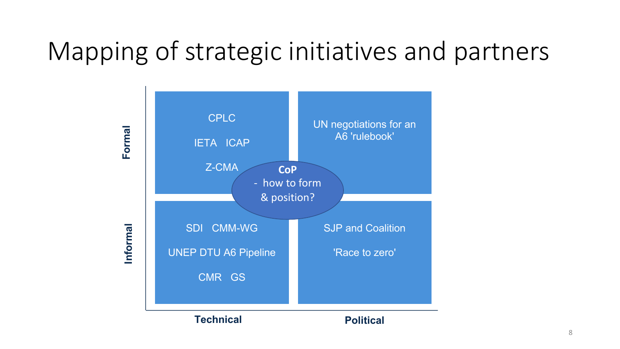# Mapping of strategic initiatives and partners